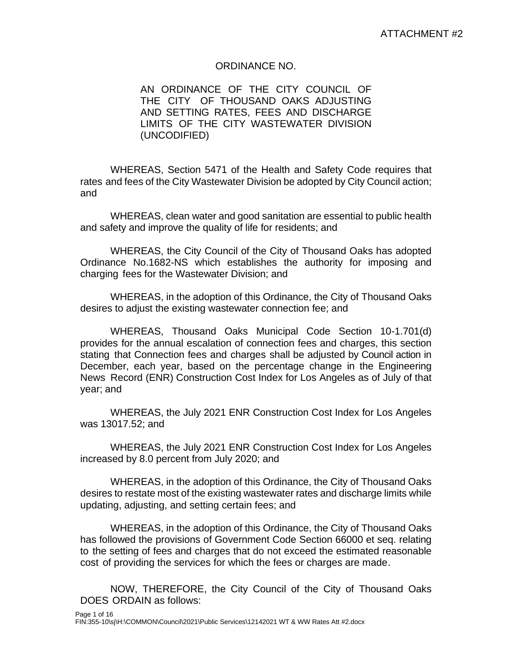#### ORDINANCE NO.

AN ORDINANCE OF THE CITY COUNCIL OF THE CITY OF THOUSAND OAKS ADJUSTING AND SETTING RATES, FEES AND DISCHARGE LIMITS OF THE CITY WASTEWATER DIVISION (UNCODIFIED)

WHEREAS, Section 5471 of the Health and Safety Code requires that rates and fees of the City Wastewater Division be adopted by City Council action; and

WHEREAS, clean water and good sanitation are essential to public health and safety and improve the quality of life for residents; and

WHEREAS, the City Council of the City of Thousand Oaks has adopted Ordinance No.1682-NS which establishes the authority for imposing and charging fees for the Wastewater Division; and

WHEREAS, in the adoption of this Ordinance, the City of Thousand Oaks desires to adjust the existing wastewater connection fee; and

WHEREAS, Thousand Oaks Municipal Code Section 10-1.701(d) provides for the annual escalation of connection fees and charges, this section stating that Connection fees and charges shall be adjusted by Council action in December, each year, based on the percentage change in the Engineering News Record (ENR) Construction Cost Index for Los Angeles as of July of that year; and

WHEREAS, the July 2021 ENR Construction Cost Index for Los Angeles was 13017.52; and

WHEREAS, the July 2021 ENR Construction Cost Index for Los Angeles increased by 8.0 percent from July 2020; and

WHEREAS, in the adoption of this Ordinance, the City of Thousand Oaks desires to restate most of the existing wastewater rates and discharge limits while updating, adjusting, and setting certain fees; and

WHEREAS, in the adoption of this Ordinance, the City of Thousand Oaks has followed the provisions of Government Code Section 66000 et seq. relating to the setting of fees and charges that do not exceed the estimated reasonable cost of providing the services for which the fees or charges are made.

NOW, THEREFORE, the City Council of the City of Thousand Oaks DOES ORDAIN as follows: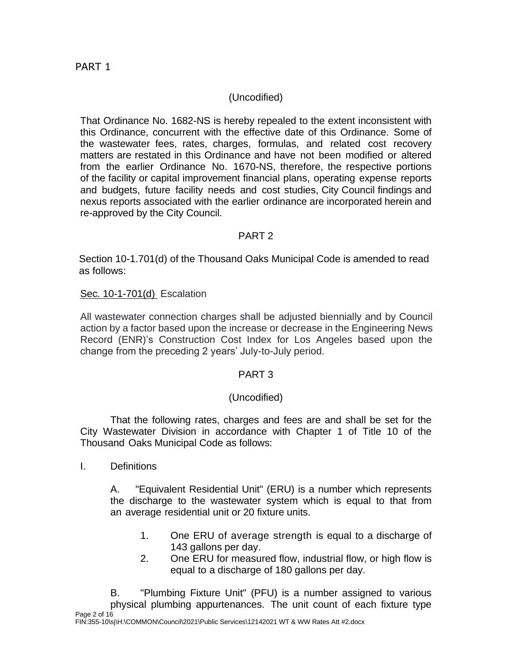## (Uncodified)

That Ordinance No. 1682-NS is hereby repealed to the extent inconsistent with this Ordinance, concurrent with the effective date of this Ordinance. Some of the wastewater fees, rates, charges, formulas, and related cost recovery matters are restated in this Ordinance and have not been modified or altered from the earlier Ordinance No. 1670-NS, therefore, the respective portions of the facility or capital improvement financial plans, operating expense reports and budgets, future facility needs and cost studies, City Council findings and nexus reports associated with the earlier ordinance are incorporated herein and re-approved by the City Council.

### PART 2

Section 10-1.701(d) of the Thousand Oaks Municipal Code is amended to read as follows:

#### Sec. 10-1-701(d) Escalation

All wastewater connection charges shall be adjusted biennially and by Council action by a factor based upon the increase or decrease in the Engineering News Record (ENR)'s Construction Cost Index for Los Angeles based upon the change from the preceding 2 years' July-to-July period.

### PART 3

### (Uncodified)

That the following rates, charges and fees are and shall be set for the City Wastewater Division in accordance with Chapter 1 of Title 10 of the Thousand Oaks Municipal Code as follows:

I. Definitions

A. "Equivalent Residential Unit" (ERU) is a number which represents the discharge to the wastewater system which is equal to that from an average residential unit or 20 fixture units.

- 1. One ERU of average strength is equal to a discharge of 143 gallons per day.
- 2. One ERU for measured flow, industrial flow, or high flow is equal to a discharge of 180 gallons per day.

Page 2 of 16 B. "Plumbing Fixture Unit" (PFU) is a number assigned to various physical plumbing appurtenances. The unit count of each fixture type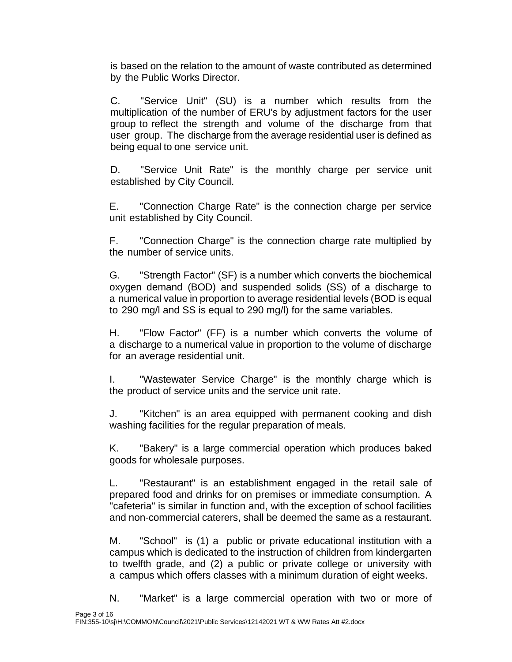is based on the relation to the amount of waste contributed as determined by the Public Works Director.

C. "Service Unit" (SU) is a number which results from the multiplication of the number of ERU's by adjustment factors for the user group to reflect the strength and volume of the discharge from that user group. The discharge from the average residential user is defined as being equal to one service unit.

D. "Service Unit Rate" is the monthly charge per service unit established by City Council.

E. "Connection Charge Rate" is the connection charge per service unit established by City Council.

F. "Connection Charge" is the connection charge rate multiplied by the number of service units.

G. "Strength Factor" (SF) is a number which converts the biochemical oxygen demand (BOD) and suspended solids (SS) of a discharge to a numerical value in proportion to average residential levels (BOD is equal to 290 mg/l and SS is equal to 290 mg/l) for the same variables.

H. "Flow Factor" (FF) is a number which converts the volume of a discharge to a numerical value in proportion to the volume of discharge for an average residential unit.

I. "Wastewater Service Charge" is the monthly charge which is the product of service units and the service unit rate.

J. "Kitchen" is an area equipped with permanent cooking and dish washing facilities for the regular preparation of meals.

K. "Bakery" is a large commercial operation which produces baked goods for wholesale purposes.

L. "Restaurant" is an establishment engaged in the retail sale of prepared food and drinks for on premises or immediate consumption. A "cafeteria" is similar in function and, with the exception of school facilities and non-commercial caterers, shall be deemed the same as a restaurant.

M. "School" is (1) a public or private educational institution with a campus which is dedicated to the instruction of children from kindergarten to twelfth grade, and (2) a public or private college or university with a campus which offers classes with a minimum duration of eight weeks.

N. "Market" is a large commercial operation with two or more of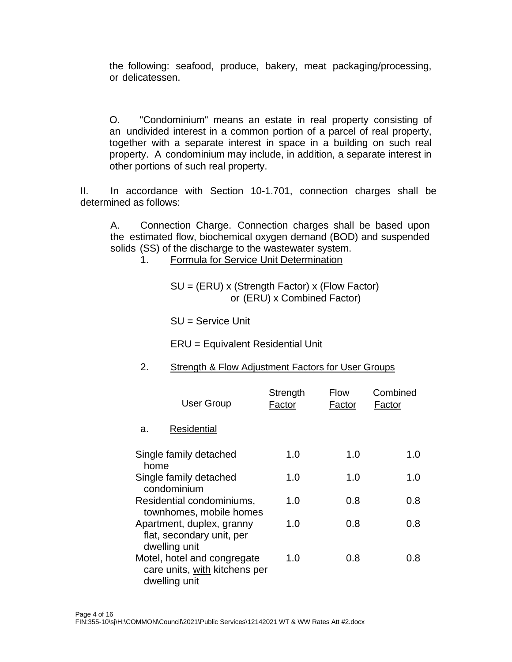the following: seafood, produce, bakery, meat packaging/processing, or delicatessen.

O. "Condominium" means an estate in real property consisting of an undivided interest in a common portion of a parcel of real property, together with a separate interest in space in a building on such real property. A condominium may include, in addition, a separate interest in other portions of such real property.

II. In accordance with Section 10-1.701, connection charges shall be determined as follows:

A. Connection Charge. Connection charges shall be based upon the estimated flow, biochemical oxygen demand (BOD) and suspended solids (SS) of the discharge to the wastewater system.

1. Formula for Service Unit Determination

SU = (ERU) x (Strength Factor) x (Flow Factor) or (ERU) x Combined Factor)

SU = Service Unit

ERU = Equivalent Residential Unit

#### 2. Strength & Flow Adjustment Factors for User Groups

| <b>User Group</b>                                                             | Strength<br>Factor | <b>Flow</b><br>Factor | Combined<br>Factor |
|-------------------------------------------------------------------------------|--------------------|-----------------------|--------------------|
| Residential<br>a.                                                             |                    |                       |                    |
| Single family detached<br>home                                                | 1.0                | 1.0                   | 1.0                |
| Single family detached<br>condominium                                         | 1.0                | 1.0                   | 1.0                |
| Residential condominiums,<br>townhomes, mobile homes                          | 1.0                | 0.8                   | 0.8                |
| Apartment, duplex, granny<br>flat, secondary unit, per<br>dwelling unit       | 1.0                | 0.8                   | 0.8                |
| Motel, hotel and congregate<br>care units, with kitchens per<br>dwelling unit | 1.0                | 0.8                   | 0.8                |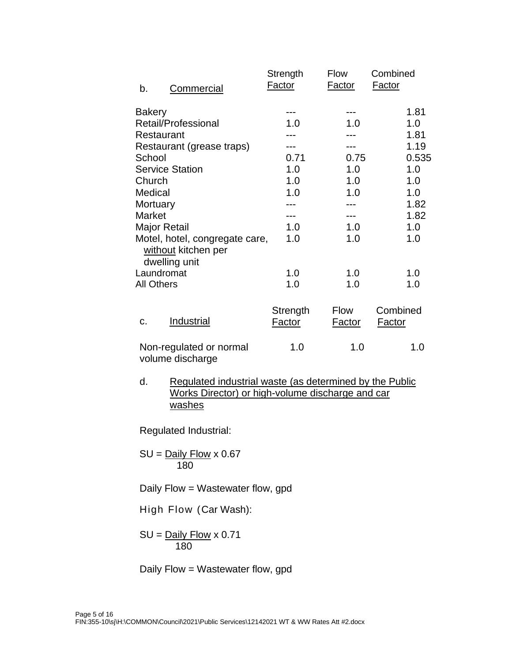|                   |                                             | Strength<br><b>Factor</b> | <b>Flow</b><br><b>Factor</b> | Combined<br><u>Factor</u> |
|-------------------|---------------------------------------------|---------------------------|------------------------------|---------------------------|
| b.                | <b>Commercial</b>                           |                           |                              |                           |
| <b>Bakery</b>     |                                             |                           |                              | 1.81                      |
|                   | Retail/Professional                         | 1.0                       | 1.0                          | 1.0                       |
|                   | Restaurant                                  |                           |                              | 1.81                      |
|                   | Restaurant (grease traps)                   |                           |                              | 1.19                      |
| School            |                                             | 0.71                      | 0.75                         | 0.535                     |
|                   | <b>Service Station</b>                      | 1.0                       | 1.0                          | 1.0                       |
| Church            |                                             | 1.0                       | 1.0                          | 1.0                       |
| Medical           |                                             | 1.0                       | 1.0                          | 1.0                       |
| Mortuary          |                                             |                           |                              | 1.82                      |
| Market            |                                             |                           |                              | 1.82                      |
|                   | <b>Major Retail</b>                         | 1.0                       | 1.0                          | 1.0                       |
|                   | Motel, hotel, congregate care,              | 1.0                       | 1.0                          | 1.0                       |
|                   | without kitchen per                         |                           |                              |                           |
|                   | dwelling unit                               |                           |                              |                           |
|                   | Laundromat                                  | 1.0                       | 1.0                          | 1.0                       |
| <b>All Others</b> |                                             | 1.0                       | 1.0                          | 1.0                       |
|                   |                                             |                           |                              |                           |
|                   |                                             | Strength                  | <b>Flow</b>                  | Combined                  |
| c.                | Industrial                                  | <u>Factor</u>             | <b>Factor</b>                | <b>Factor</b>             |
|                   |                                             |                           |                              |                           |
|                   | Non-regulated or normal<br>volume discharge | 1.0                       | 1.0                          | 1.0                       |
|                   |                                             |                           |                              |                           |

d. Regulated industrial waste (as determined by the Public Works Director) or high-volume discharge and car washes

Regulated Industrial:

 $SU =$  Daily Flow x 0.67 180

Daily Flow = Wastewater flow, gpd

High Flow (Car Wash):

 $SU =$  Daily Flow  $\times$  0.71 180

Daily Flow = Wastewater flow, gpd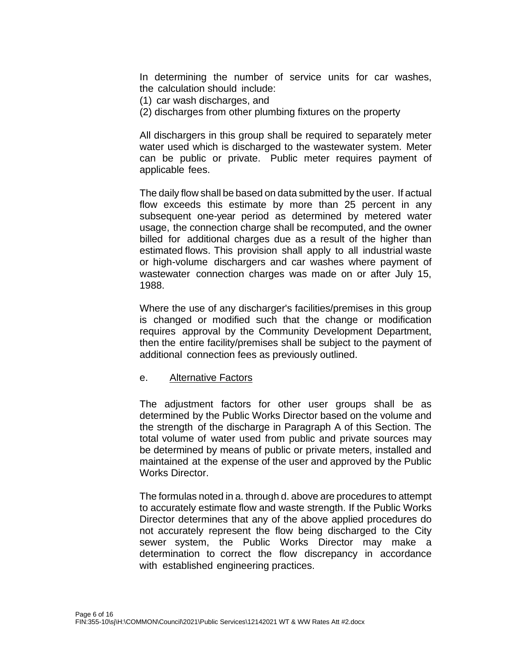In determining the number of service units for car washes, the calculation should include:

- (1) car wash discharges, and
- (2) discharges from other plumbing fixtures on the property

All dischargers in this group shall be required to separately meter water used which is discharged to the wastewater system. Meter can be public or private. Public meter requires payment of applicable fees.

The daily flow shall be based on data submitted by the user. If actual flow exceeds this estimate by more than 25 percent in any subsequent one-year period as determined by metered water usage, the connection charge shall be recomputed, and the owner billed for additional charges due as a result of the higher than estimated flows. This provision shall apply to all industrial waste or high-volume dischargers and car washes where payment of wastewater connection charges was made on or after July 15, 1988.

Where the use of any discharger's facilities/premises in this group is changed or modified such that the change or modification requires approval by the Community Development Department, then the entire facility/premises shall be subject to the payment of additional connection fees as previously outlined.

#### e. Alternative Factors

The adjustment factors for other user groups shall be as determined by the Public Works Director based on the volume and the strength of the discharge in Paragraph A of this Section. The total volume of water used from public and private sources may be determined by means of public or private meters, installed and maintained at the expense of the user and approved by the Public Works Director.

The formulas noted in a. through d. above are procedures to attempt to accurately estimate flow and waste strength. If the Public Works Director determines that any of the above applied procedures do not accurately represent the flow being discharged to the City sewer system, the Public Works Director may make a determination to correct the flow discrepancy in accordance with established engineering practices.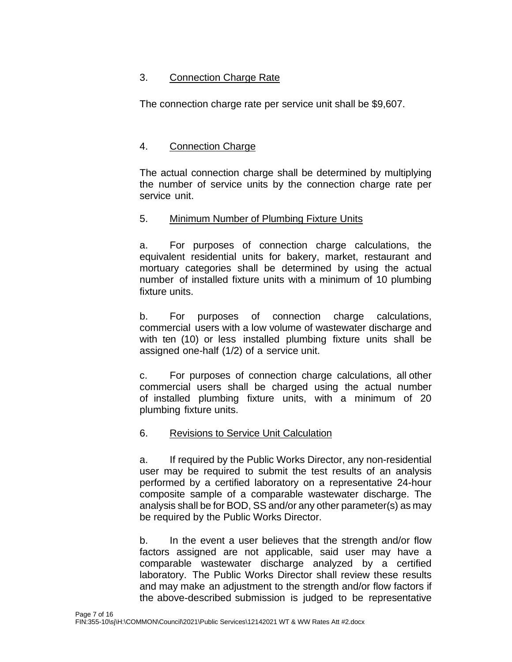## 3. Connection Charge Rate

The connection charge rate per service unit shall be \$9,607.

## 4. Connection Charge

The actual connection charge shall be determined by multiplying the number of service units by the connection charge rate per service unit.

#### 5. Minimum Number of Plumbing Fixture Units

a. For purposes of connection charge calculations, the equivalent residential units for bakery, market, restaurant and mortuary categories shall be determined by using the actual number of installed fixture units with a minimum of 10 plumbing fixture units.

b. For purposes of connection charge calculations, commercial users with a low volume of wastewater discharge and with ten (10) or less installed plumbing fixture units shall be assigned one-half (1/2) of a service unit.

c. For purposes of connection charge calculations, all other commercial users shall be charged using the actual number of installed plumbing fixture units, with a minimum of 20 plumbing fixture units.

### 6. Revisions to Service Unit Calculation

a. If required by the Public Works Director, any non-residential user may be required to submit the test results of an analysis performed by a certified laboratory on a representative 24-hour composite sample of a comparable wastewater discharge. The analysis shall be for BOD, SS and/or any other parameter(s) as may be required by the Public Works Director.

b. In the event a user believes that the strength and/or flow factors assigned are not applicable, said user may have a comparable wastewater discharge analyzed by a certified laboratory. The Public Works Director shall review these results and may make an adjustment to the strength and/or flow factors if the above-described submission is judged to be representative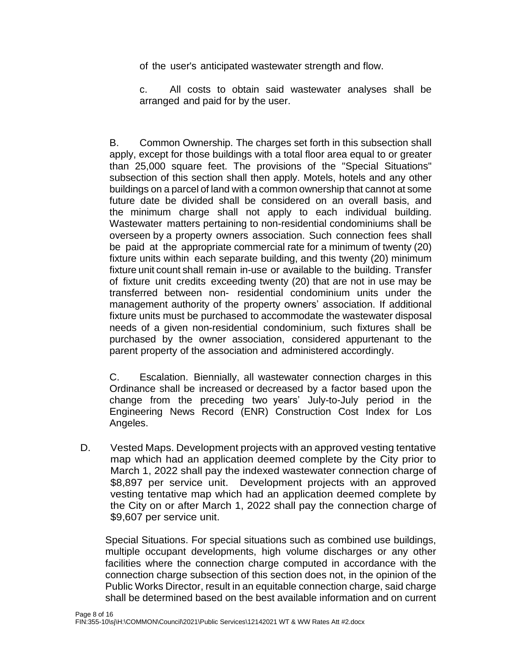of the user's anticipated wastewater strength and flow.

c. All costs to obtain said wastewater analyses shall be arranged and paid for by the user.

B. Common Ownership. The charges set forth in this subsection shall apply, except for those buildings with a total floor area equal to or greater than 25,000 square feet. The provisions of the "Special Situations" subsection of this section shall then apply. Motels, hotels and any other buildings on a parcel of land with a common ownership that cannot at some future date be divided shall be considered on an overall basis, and the minimum charge shall not apply to each individual building. Wastewater matters pertaining to non-residential condominiums shall be overseen by a property owners association. Such connection fees shall be paid at the appropriate commercial rate for a minimum of twenty (20) fixture units within each separate building, and this twenty (20) minimum fixture unit count shall remain in-use or available to the building. Transfer of fixture unit credits exceeding twenty (20) that are not in use may be transferred between non- residential condominium units under the management authority of the property owners' association. If additional fixture units must be purchased to accommodate the wastewater disposal needs of a given non-residential condominium, such fixtures shall be purchased by the owner association, considered appurtenant to the parent property of the association and administered accordingly.

C. Escalation. Biennially, all wastewater connection charges in this Ordinance shall be increased or decreased by a factor based upon the change from the preceding two years' July-to-July period in the Engineering News Record (ENR) Construction Cost Index for Los Angeles.

D. Vested Maps. Development projects with an approved vesting tentative map which had an application deemed complete by the City prior to March 1, 2022 shall pay the indexed wastewater connection charge of \$8,897 per service unit. Development projects with an approved vesting tentative map which had an application deemed complete by the City on or after March 1, 2022 shall pay the connection charge of \$9,607 per service unit.

Special Situations. For special situations such as combined use buildings, multiple occupant developments, high volume discharges or any other facilities where the connection charge computed in accordance with the connection charge subsection of this section does not, in the opinion of the Public Works Director, result in an equitable connection charge, said charge shall be determined based on the best available information and on current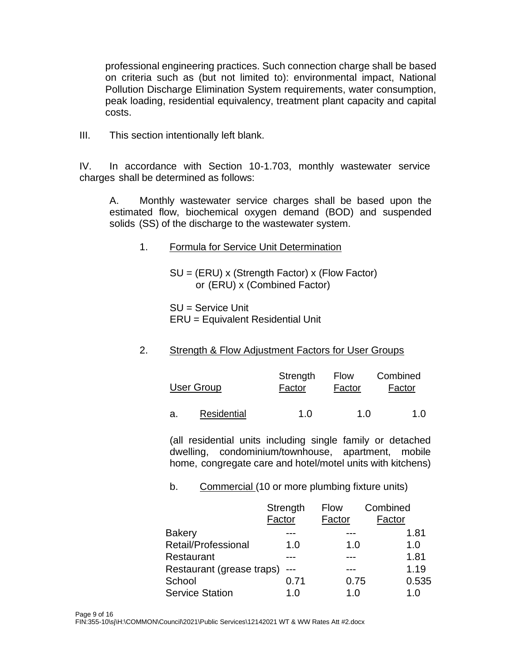professional engineering practices. Such connection charge shall be based on criteria such as (but not limited to): environmental impact, National Pollution Discharge Elimination System requirements, water consumption, peak loading, residential equivalency, treatment plant capacity and capital costs.

III. This section intentionally left blank.

IV. In accordance with Section 10-1.703, monthly wastewater service charges shall be determined as follows:

A. Monthly wastewater service charges shall be based upon the estimated flow, biochemical oxygen demand (BOD) and suspended solids (SS) of the discharge to the wastewater system.

1. Formula for Service Unit Determination

SU = (ERU) x (Strength Factor) x (Flow Factor) or (ERU) x (Combined Factor)

SU = Service Unit ERU = Equivalent Residential Unit

### 2. Strength & Flow Adjustment Factors for User Groups

| User Group  | Strength<br>Factor | Flow<br>Factor | Combined<br>Factor |
|-------------|--------------------|----------------|--------------------|
| Residential | 1 N                | 1 N            | 1.0                |

(all residential units including single family or detached dwelling, condominium/townhouse, apartment, mobile home, congregate care and hotel/motel units with kitchens)

### b. Commercial (10 or more plumbing fixture units)

|                           | Strength | <b>Flow</b> | Combined |
|---------------------------|----------|-------------|----------|
|                           | Factor   | Factor      | Factor   |
| <b>Bakery</b>             |          |             | 1.81     |
| Retail/Professional       | 1.0      | 1.0         | 1.0      |
| Restaurant                |          |             | 1.81     |
| Restaurant (grease traps) |          |             | 1.19     |
| School                    | 0.71     | 0.75        | 0.535    |
| <b>Service Station</b>    | 1 በ      | 1 በ         | 1 በ      |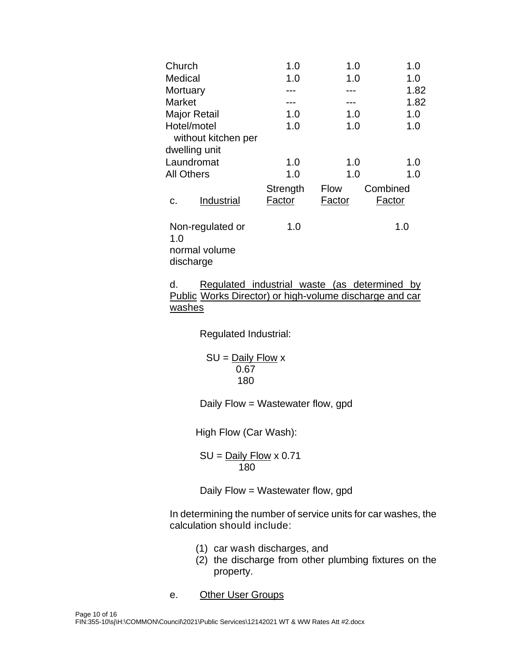| Church                                                | 1.0                | 1.0            | 1.0                |
|-------------------------------------------------------|--------------------|----------------|--------------------|
| Medical                                               | 1.0                | 1.0            | 1.0                |
| Mortuary                                              |                    |                | 1.82               |
| Market                                                |                    |                | 1.82               |
| <b>Major Retail</b>                                   | 1.0                | 1.0            | 1.0                |
| Hotel/motel                                           | 1.0                | 1.0            | 1.0                |
| without kitchen per                                   |                    |                |                    |
| dwelling unit                                         |                    |                |                    |
| Laundromat                                            | 1.0                | 1.0            | 1.0                |
| <b>All Others</b>                                     | 1.0                | 1.0            | 1.0                |
| Industrial<br>C.                                      | Strength<br>Factor | Flow<br>Factor | Combined<br>Factor |
| Non-regulated or<br>1.0<br>normal volume<br>discharge | 1.0                |                | 1.0                |

d. Regulated industrial waste (as determined by Public Works Director) or high-volume discharge and car washes

Regulated Industrial:

 $SU =$  Daily Flow x 0.67 180

Daily Flow = Wastewater flow, gpd

High Flow (Car Wash):

SU = Daily Flow x 0.71 180

Daily Flow = Wastewater flow, gpd

In determining the number of service units for car washes, the calculation should include:

- (1) car wash discharges, and
- (2) the discharge from other plumbing fixtures on the property.
- e. Other User Groups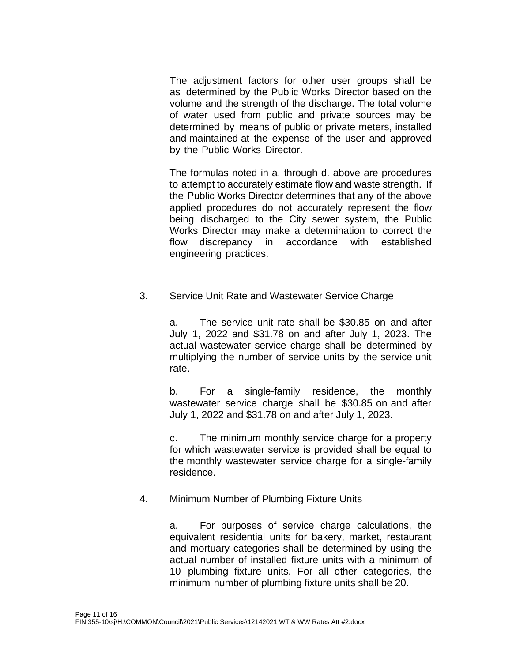The adjustment factors for other user groups shall be as determined by the Public Works Director based on the volume and the strength of the discharge. The total volume of water used from public and private sources may be determined by means of public or private meters, installed and maintained at the expense of the user and approved by the Public Works Director.

The formulas noted in a. through d. above are procedures to attempt to accurately estimate flow and waste strength. If the Public Works Director determines that any of the above applied procedures do not accurately represent the flow being discharged to the City sewer system, the Public Works Director may make a determination to correct the flow discrepancy in accordance with established engineering practices.

#### 3. Service Unit Rate and Wastewater Service Charge

a. The service unit rate shall be \$30.85 on and after July 1, 2022 and \$31.78 on and after July 1, 2023. The actual wastewater service charge shall be determined by multiplying the number of service units by the service unit rate.

b. For a single-family residence, the monthly wastewater service charge shall be \$30.85 on and after July 1, 2022 and \$31.78 on and after July 1, 2023.

c. The minimum monthly service charge for a property for which wastewater service is provided shall be equal to the monthly wastewater service charge for a single-family residence.

### 4. Minimum Number of Plumbing Fixture Units

a. For purposes of service charge calculations, the equivalent residential units for bakery, market, restaurant and mortuary categories shall be determined by using the actual number of installed fixture units with a minimum of 10 plumbing fixture units. For all other categories, the minimum number of plumbing fixture units shall be 20.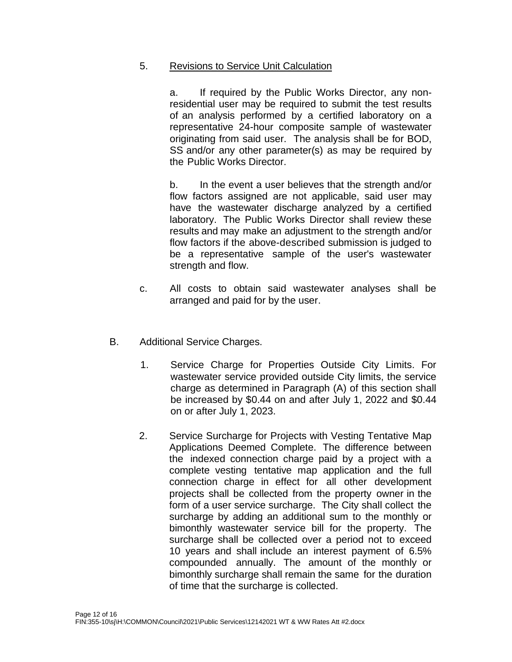#### 5. Revisions to Service Unit Calculation

a. If required by the Public Works Director, any nonresidential user may be required to submit the test results of an analysis performed by a certified laboratory on a representative 24-hour composite sample of wastewater originating from said user. The analysis shall be for BOD, SS and/or any other parameter(s) as may be required by the Public Works Director.

b. In the event a user believes that the strength and/or flow factors assigned are not applicable, said user may have the wastewater discharge analyzed by a certified laboratory. The Public Works Director shall review these results and may make an adjustment to the strength and/or flow factors if the above-described submission is judged to be a representative sample of the user's wastewater strength and flow.

- c. All costs to obtain said wastewater analyses shall be arranged and paid for by the user.
- B. Additional Service Charges.
	- 1. Service Charge for Properties Outside City Limits. For wastewater service provided outside City limits, the service charge as determined in Paragraph (A) of this section shall be increased by \$0.44 on and after July 1, 2022 and \$0.44 on or after July 1, 2023.
	- 2. Service Surcharge for Projects with Vesting Tentative Map Applications Deemed Complete. The difference between the indexed connection charge paid by a project with a complete vesting tentative map application and the full connection charge in effect for all other development projects shall be collected from the property owner in the form of a user service surcharge. The City shall collect the surcharge by adding an additional sum to the monthly or bimonthly wastewater service bill for the property. The surcharge shall be collected over a period not to exceed 10 years and shall include an interest payment of 6.5% compounded annually. The amount of the monthly or bimonthly surcharge shall remain the same for the duration of time that the surcharge is collected.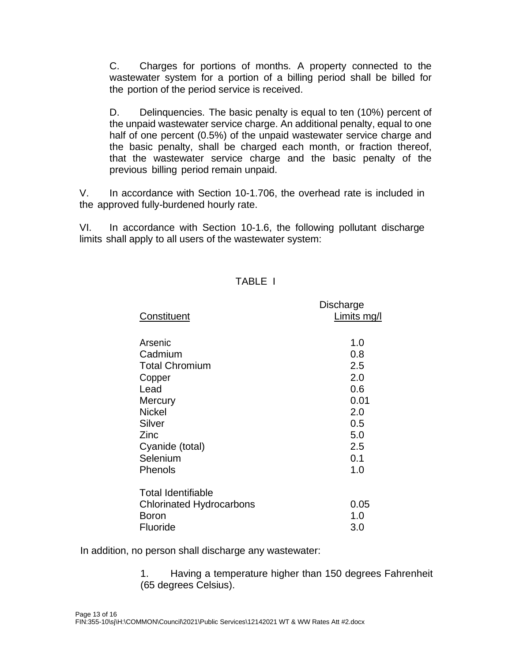C. Charges for portions of months. A property connected to the wastewater system for a portion of a billing period shall be billed for the portion of the period service is received.

D. Delinquencies. The basic penalty is equal to ten (10%) percent of the unpaid wastewater service charge. An additional penalty, equal to one half of one percent (0.5%) of the unpaid wastewater service charge and the basic penalty, shall be charged each month, or fraction thereof, that the wastewater service charge and the basic penalty of the previous billing period remain unpaid.

V. In accordance with Section 10-1.706, the overhead rate is included in the approved fully-burdened hourly rate.

VI. In accordance with Section 10-1.6, the following pollutant discharge limits shall apply to all users of the wastewater system:

#### TABLE I

| Limits mg/l |
|-------------|
|             |
|             |
|             |
|             |
|             |
|             |
|             |
| 0.01        |
|             |
|             |
|             |
|             |
|             |
|             |
|             |
| 0.05        |
|             |
|             |
|             |

In addition, no person shall discharge any wastewater:

1. Having a temperature higher than 150 degrees Fahrenheit (65 degrees Celsius).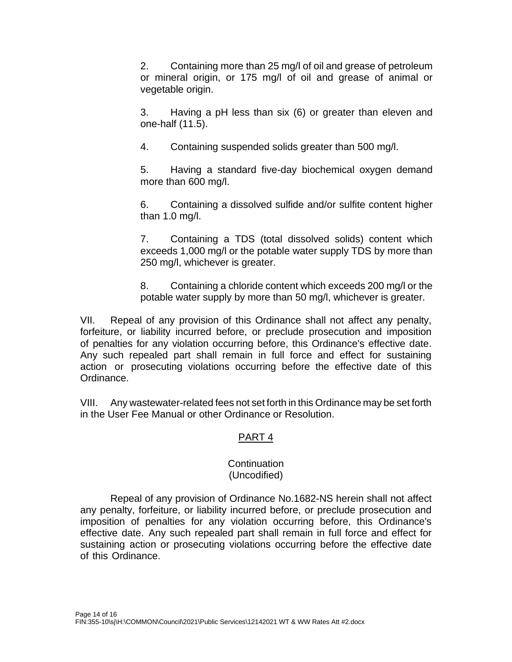2. Containing more than 25 mg/l of oil and grease of petroleum or mineral origin, or 175 mg/l of oil and grease of animal or vegetable origin.

3. Having a pH less than six (6) or greater than eleven and one-half (11.5).

4. Containing suspended solids greater than 500 mg/l.

5. Having a standard five-day biochemical oxygen demand more than 600 mg/l.

6. Containing a dissolved sulfide and/or sulfite content higher than 1.0 mg/l.

7. Containing a TDS (total dissolved solids) content which exceeds 1,000 mg/l or the potable water supply TDS by more than 250 mg/l, whichever is greater.

8. Containing a chloride content which exceeds 200 mg/l or the potable water supply by more than 50 mg/l, whichever is greater.

VII. Repeal of any provision of this Ordinance shall not affect any penalty, forfeiture, or liability incurred before, or preclude prosecution and imposition of penalties for any violation occurring before, this Ordinance's effective date. Any such repealed part shall remain in full force and effect for sustaining action or prosecuting violations occurring before the effective date of this Ordinance.

VIII. Any wastewater-related fees not set forth in this Ordinance may be set forth in the User Fee Manual or other Ordinance or Resolution.

# PART 4

#### **Continuation** (Uncodified)

Repeal of any provision of Ordinance No.1682-NS herein shall not affect any penalty, forfeiture, or liability incurred before, or preclude prosecution and imposition of penalties for any violation occurring before, this Ordinance's effective date. Any such repealed part shall remain in full force and effect for sustaining action or prosecuting violations occurring before the effective date of this Ordinance.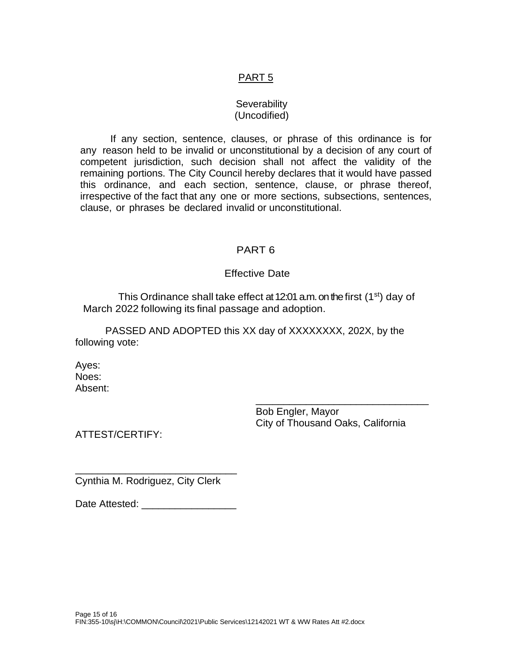## PART 5

#### **Severability** (Uncodified)

If any section, sentence, clauses, or phrase of this ordinance is for any reason held to be invalid or unconstitutional by a decision of any court of competent jurisdiction, such decision shall not affect the validity of the remaining portions. The City Council hereby declares that it would have passed this ordinance, and each section, sentence, clause, or phrase thereof, irrespective of the fact that any one or more sections, subsections, sentences, clause, or phrases be declared invalid or unconstitutional.

### PART 6

#### Effective Date

This Ordinance shall take effect at 12:01 a.m. on the first  $(1<sup>st</sup>)$  day of March 2022 following its final passage and adoption.

PASSED AND ADOPTED this XX day of XXXXXXXX, 202X, by the following vote:

Ayes: Noes: Absent:

> Bob Engler, Mayor City of Thousand Oaks, California

\_\_\_\_\_\_\_\_\_\_\_\_\_\_\_\_\_\_\_\_\_\_\_\_\_\_\_\_\_\_\_

ATTEST/CERTIFY:

\_\_\_\_\_\_\_\_\_\_\_\_\_\_\_\_\_\_\_\_\_\_\_\_\_\_\_\_\_ Cynthia M. Rodriguez, City Clerk

Date Attested: \_\_\_\_\_\_\_\_\_\_\_\_\_\_\_\_\_